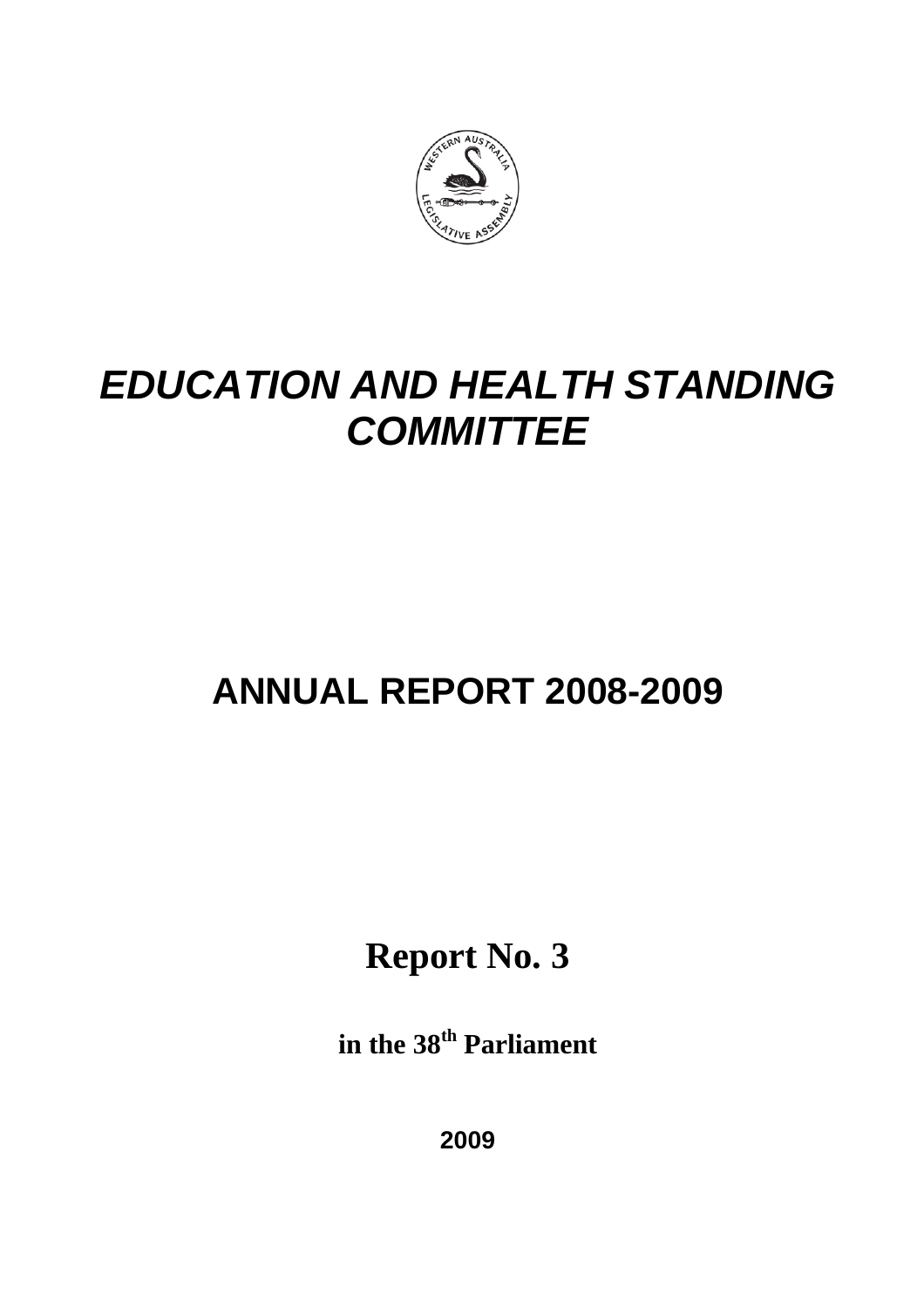

# *EDUCATION AND HEALTH STANDING COMMITTEE*

# **ANNUAL REPORT 2008-2009**

**Report No. 3**

**in the 38th Parliament**

**2009**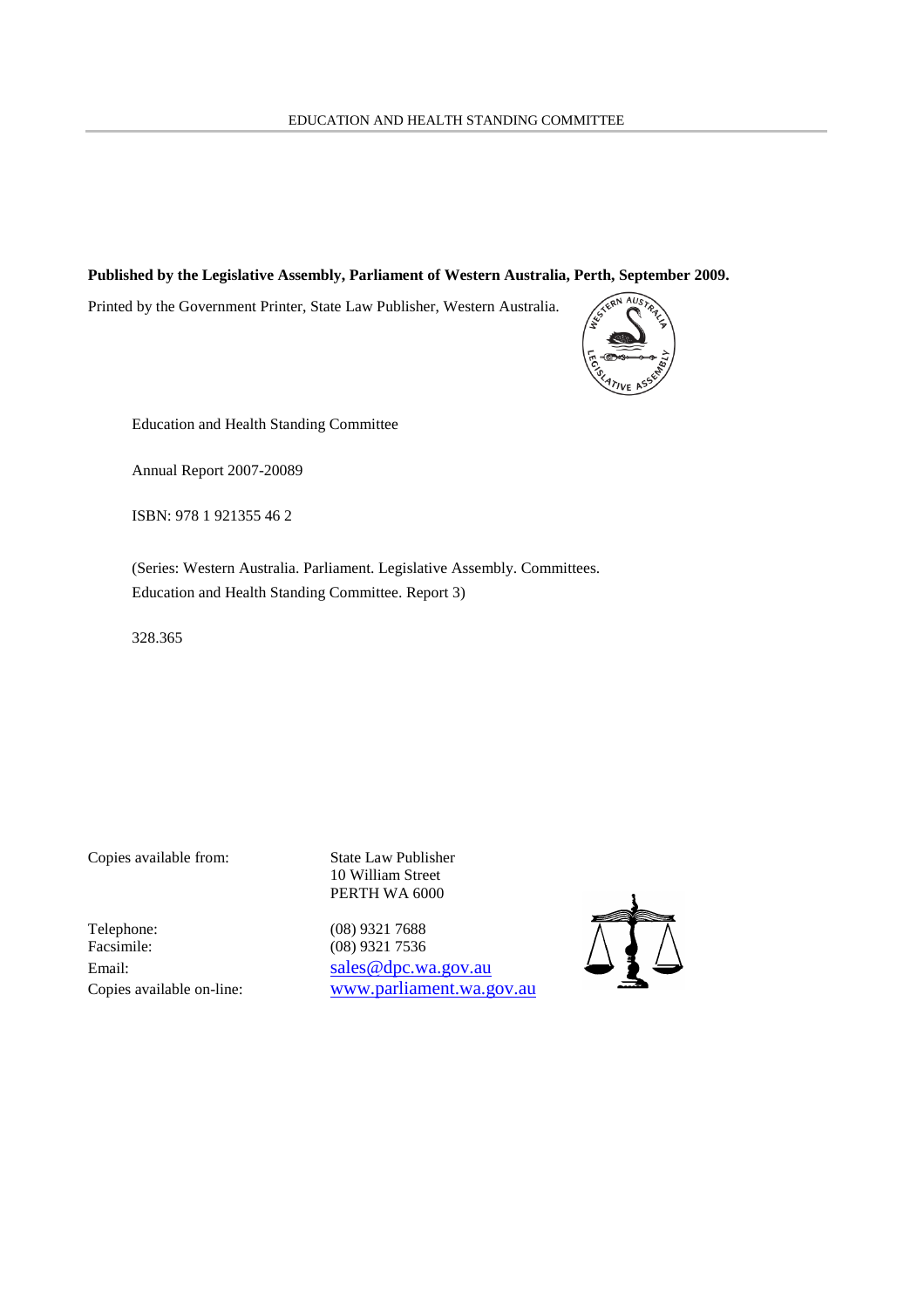### **Published by the Legislative Assembly, Parliament of Western Australia, Perth, September 2009.**

Printed by the Government Printer, State Law Publisher, Western Australia.



Education and Health Standing Committee

Annual Report 2007-20089

ISBN: 978 1 921355 46 2

(Series: Western Australia. Parliament. Legislative Assembly. Committees. Education and Health Standing Committee. Report 3)

328.365

Copies available from: State Law Publisher

Telephone: (08) 9321 7688<br>Facsimile: (08) 9321 7536

10 William Street PERTH WA 6000

(08) 9321 7536 Email: sales @dpc.wa.gov.au Copies available on-line: www.parliament.wa.gov.au

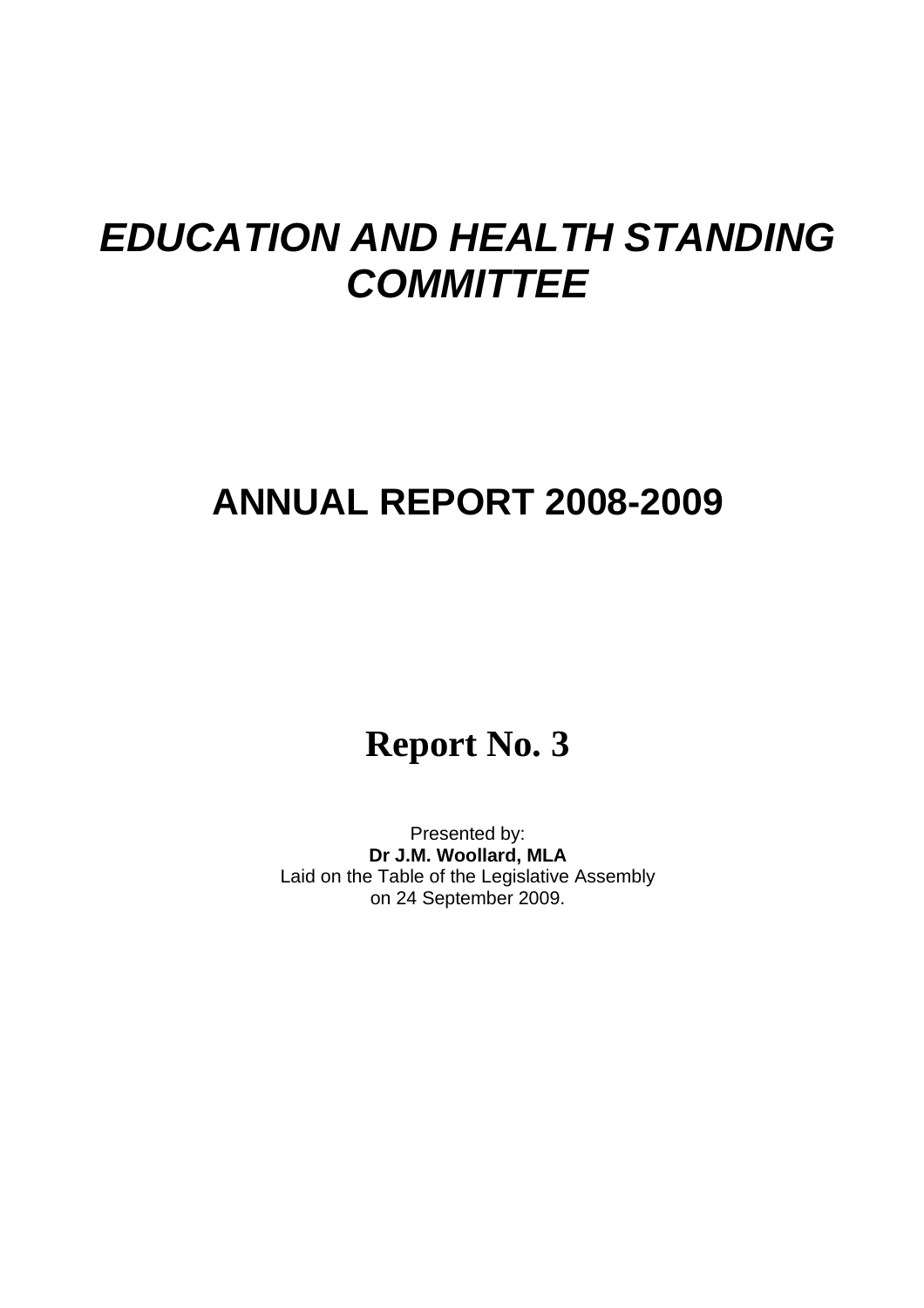# *EDUCATION AND HEALTH STANDING COMMITTEE*

# **ANNUAL REPORT 2008-2009**

# **Report No. 3**

Presented by: **Dr J.M. Woollard, MLA** Laid on the Table of the Legislative Assembly on 24 September 2009.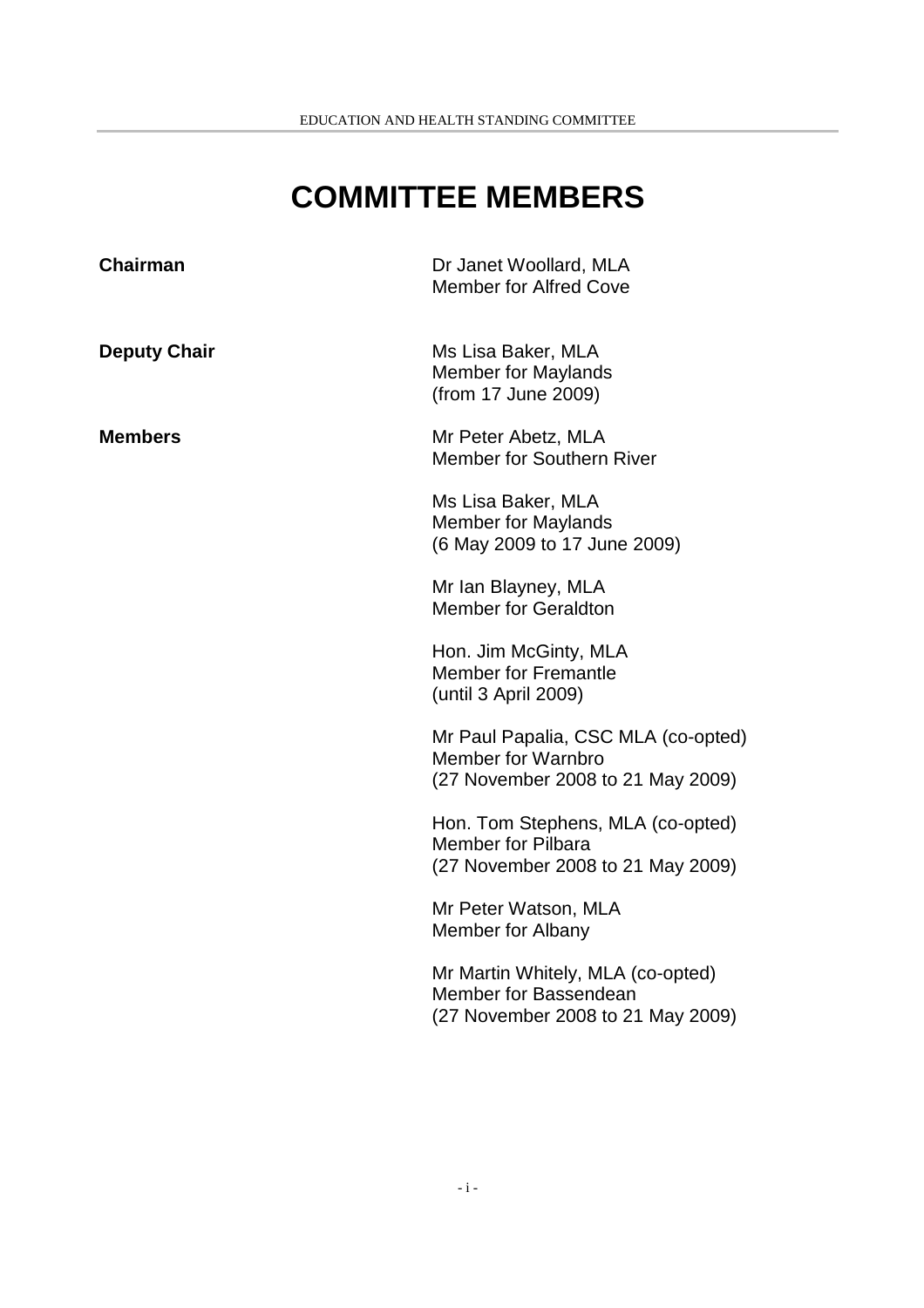# **COMMITTEE MEMBERS**

| <b>Chairman</b>     | Dr Janet Woollard, MLA<br><b>Member for Alfred Cove</b>                                               |
|---------------------|-------------------------------------------------------------------------------------------------------|
| <b>Deputy Chair</b> | Ms Lisa Baker, MLA<br><b>Member for Maylands</b><br>(from 17 June 2009)                               |
| <b>Members</b>      | Mr Peter Abetz, MLA<br><b>Member for Southern River</b>                                               |
|                     | Ms Lisa Baker, MLA<br><b>Member for Maylands</b><br>(6 May 2009 to 17 June 2009)                      |
|                     | Mr Ian Blayney, MLA<br><b>Member for Geraldton</b>                                                    |
|                     | Hon. Jim McGinty, MLA<br><b>Member for Fremantle</b><br>(until 3 April 2009)                          |
|                     | Mr Paul Papalia, CSC MLA (co-opted)<br><b>Member for Warnbro</b><br>(27 November 2008 to 21 May 2009) |
|                     | Hon. Tom Stephens, MLA (co-opted)<br><b>Member for Pilbara</b><br>(27 November 2008 to 21 May 2009)   |
|                     | Mr Peter Watson, MLA<br>Member for Albany                                                             |
|                     | Mr Martin Whitely, MLA (co-opted)<br>Member for Bassendean<br>(27 November 2008 to 21 May 2009)       |
|                     |                                                                                                       |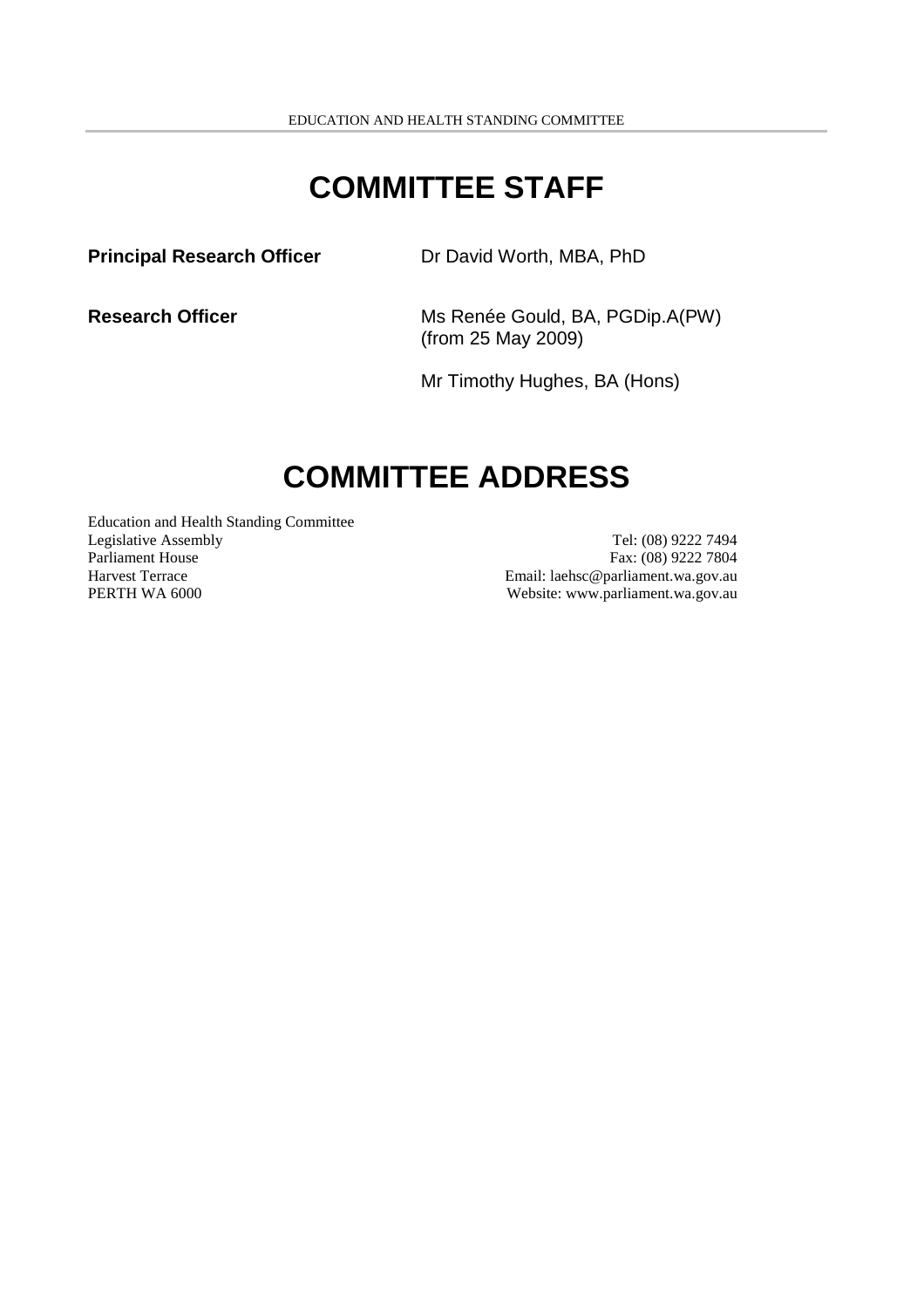## **COMMITTEE STAFF**

**Principal Research Officer** Dr David Worth, MBA, PhD

**Research Officer** Ms Renée Gould, BA, PGDip.A(PW) (from 25 May 2009)

Mr Timothy Hughes, BA (Hons)

# **COMMITTEE ADDRESS**

Education and Health Standing Committee Legislative Assembly Tel: (08) 9222 7494 Parliament House Fax: (08) 9222 7804 Harvest Terrace Email: laehsc @parliament.wa.gov.au PERTH WA 6000 Website: www.parliament.wa.gov.au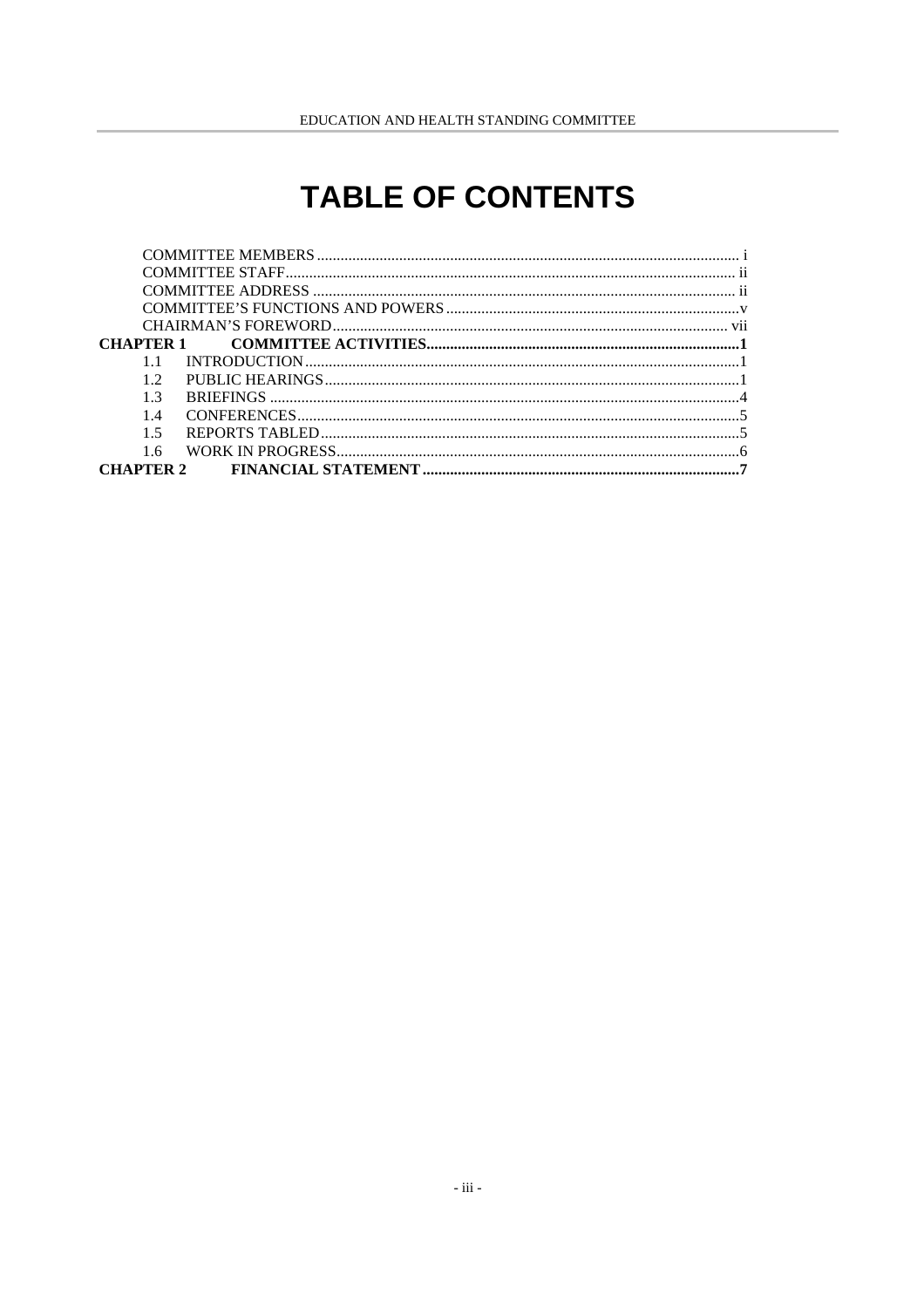# **TABLE OF CONTENTS**

| 12             |  |
|----------------|--|
| 1 <sup>3</sup> |  |
| 14             |  |
| $1\,5$         |  |
| 1.6            |  |
|                |  |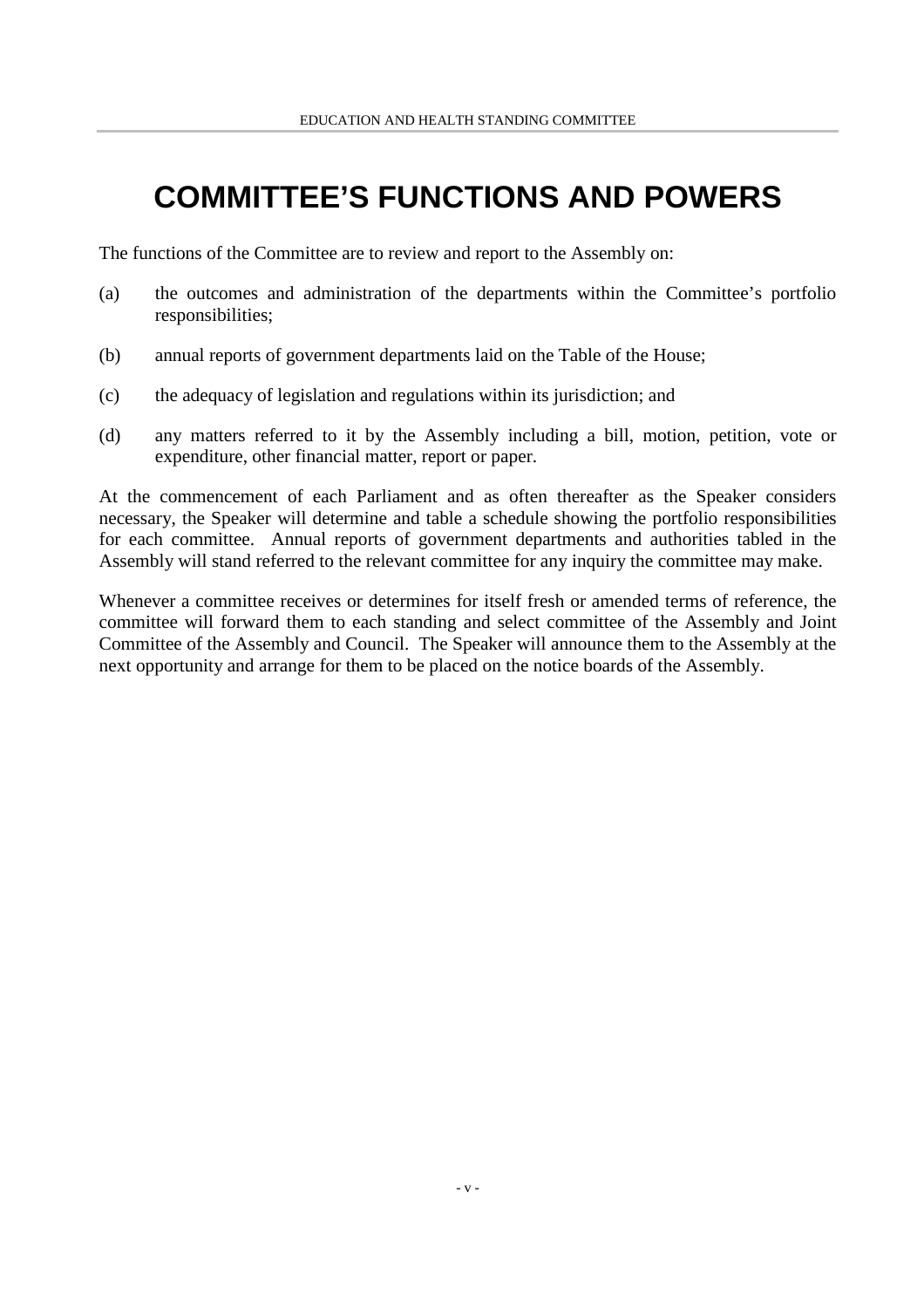# **COMMITTEE'S FUNCTIONS AND POWERS**

The functions of the Committee are to review and report to the Assembly on:

- (a) the outcomes and administration of the departments within the Committee's portfolio responsibilities;
- (b) annual reports of government departments laid on the Table of the House;
- (c) the adequacy of legislation and regulations within its jurisdiction; and
- (d) any matters referred to it by the Assembly including a bill, motion, petition, vote or expenditure, other financial matter, report or paper.

At the commencement of each Parliament and as often thereafter as the Speaker considers necessary, the Speaker will determine and table a schedule showing the portfolio responsibilities for each committee. Annual reports of government departments and authorities tabled in the Assembly will stand referred to the relevant committee for any inquiry the committee may make.

Whenever a committee receives or determines for itself fresh or amended terms of reference, the committee will forward them to each standing and select committee of the Assembly and Joint Committee of the Assembly and Council. The Speaker will announce them to the Assembly at the next opportunity and arrange for them to be placed on the notice boards of the Assembly.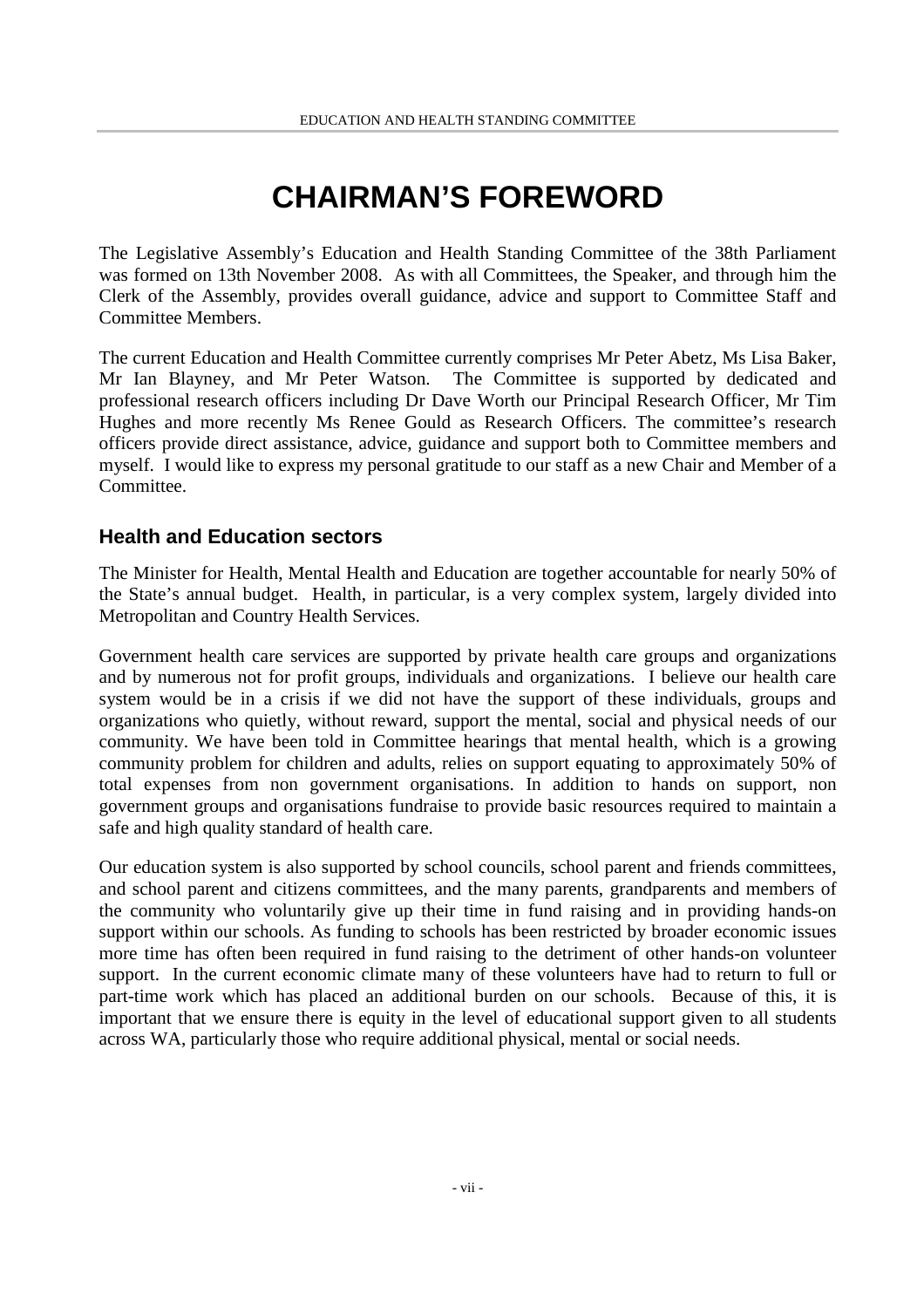# **CHAIRMAN'S FOREWORD**

The Legislative Assembly's Education and Health Standing Committee of the 38th Parliament was formed on 13th November 2008. As with all Committees, the Speaker, and through him the Clerk of the Assembly, provides overall guidance, advice and support to Committee Staff and Committee Members.

The current Education and Health Committee currently comprises Mr Peter Abetz, Ms Lisa Baker, Mr Ian Blayney, and Mr Peter Watson. The Committee is supported by dedicated and professional research officers including Dr Dave Worth our Principal Research Officer, Mr Tim Hughes and more recently Ms Renee Gould as Research Officers. The committee's research officers provide direct assistance, advice, guidance and support both to Committee members and myself. I would like to express my personal gratitude to our staff as a new Chair and Member of a Committee.

### **Health and Education sectors**

The Minister for Health, Mental Health and Education are together accountable for nearly 50% of the State's annual budget. Health, in particular, is a very complex system, largely divided into Metropolitan and Country Health Services.

Government health care services are supported by private health care groups and organizations and by numerous not for profit groups, individuals and organizations. I believe our health care system would be in a crisis if we did not have the support of these individuals, groups and organizations who quietly, without reward, support the mental, social and physical needs of our community. We have been told in Committee hearings that mental health, which is a growing community problem for children and adults, relies on support equating to approximately 50% of total expenses from non government organisations. In addition to hands on support, non government groups and organisations fundraise to provide basic resources required to maintain a safe and high quality standard of health care.

Our education system is also supported by school councils, school parent and friends committees, and school parent and citizens committees, and the many parents, grandparents and members of the community who voluntarily give up their time in fund raising and in providing hands-on support within our schools. As funding to schools has been restricted by broader economic issues more time has often been required in fund raising to the detriment of other hands-on volunteer support. In the current economic climate many of these volunteers have had to return to full or part-time work which has placed an additional burden on our schools. Because of this, it is important that we ensure there is equity in the level of educational support given to all students across WA, particularly those who require additional physical, mental or social needs.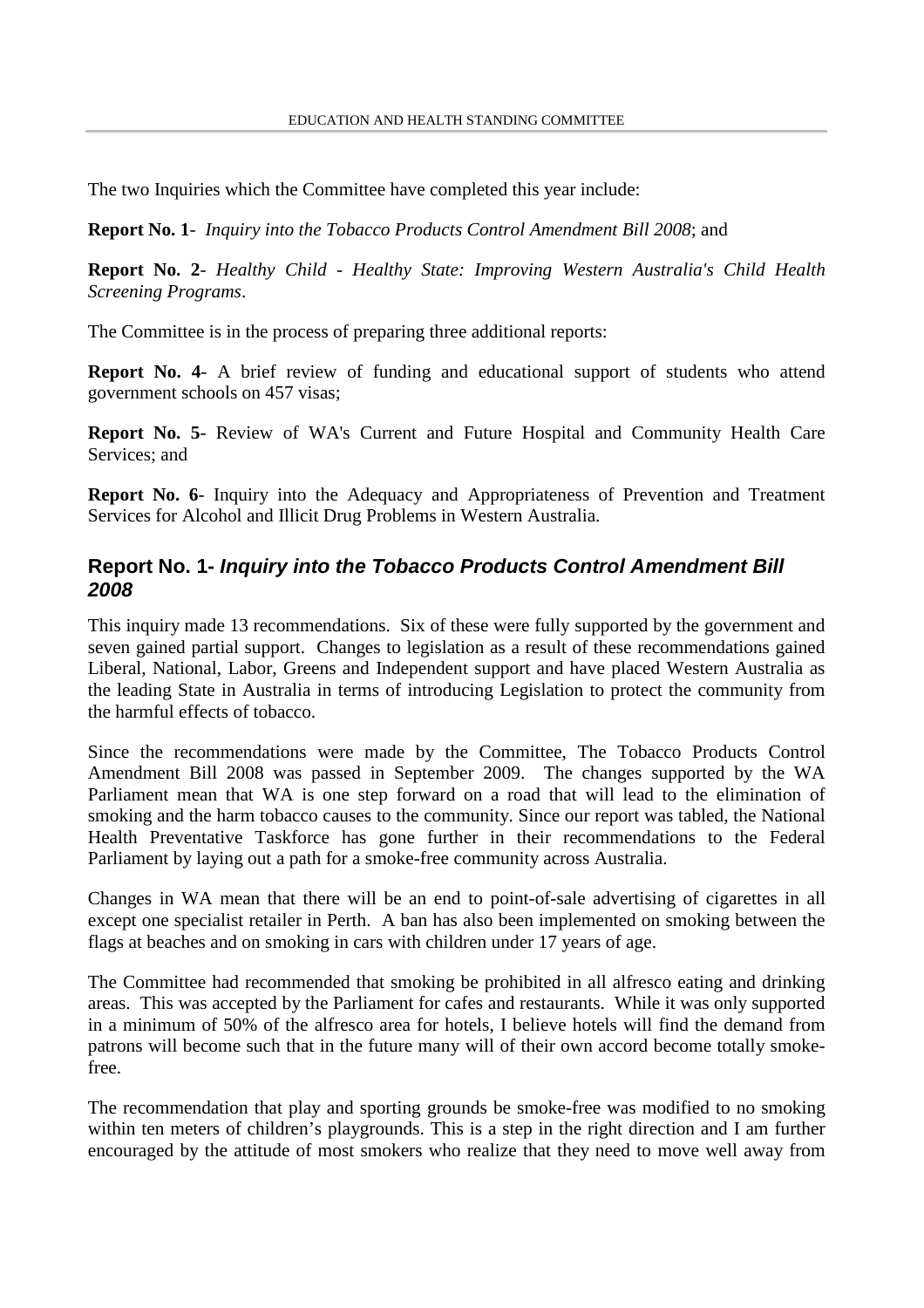The two Inquiries which the Committee have completed this year include:

**Report No. 1**- *Inquiry into the Tobacco Products Control Amendment Bill 2008*; and

**Report No. 2**- *Healthy Child - Healthy State: Improving Western Australia's Child Health Screening Programs*.

The Committee is in the process of preparing three additional reports:

**Report No. 4**- A brief review of funding and educational support of students who attend government schools on 457 visas;

**Report No. 5**- Review of WA's Current and Future Hospital and Community Health Care Services; and

**Report No. 6**- Inquiry into the Adequacy and Appropriateness of Prevention and Treatment Services for Alcohol and Illicit Drug Problems in Western Australia.

## **Report No. 1-** *Inquiry into the Tobacco Products Control Amendment Bill 2008*

This inquiry made 13 recommendations. Six of these were fully supported by the government and seven gained partial support. Changes to legislation as a result of these recommendations gained Liberal, National, Labor, Greens and Independent support and have placed Western Australia as the leading State in Australia in terms of introducing Legislation to protect the community from the harmful effects of tobacco.

Since the recommendations were made by the Committee, The Tobacco Products Control Amendment Bill 2008 was passed in September 2009. The changes supported by the WA Parliament mean that WA is one step forward on a road that will lead to the elimination of smoking and the harm tobacco causes to the community. Since our report was tabled, the National Health Preventative Taskforce has gone further in their recommendations to the Federal Parliament by laying out a path for a smoke-free community across Australia.

Changes in WA mean that there will be an end to point-of-sale advertising of cigarettes in all except one specialist retailer in Perth. A ban has also been implemented on smoking between the flags at beaches and on smoking in cars with children under 17 years of age.

The Committee had recommended that smoking be prohibited in all alfresco eating and drinking areas. This was accepted by the Parliament for cafes and restaurants. While it was only supported in a minimum of 50% of the alfresco area for hotels, I believe hotels will find the demand from patrons will become such that in the future many will of their own accord become totally smokefree.

The recommendation that play and sporting grounds be smoke-free was modified to no smoking within ten meters of children's playgrounds. This is a step in the right direction and I am further encouraged by the attitude of most smokers who realize that they need to move well away from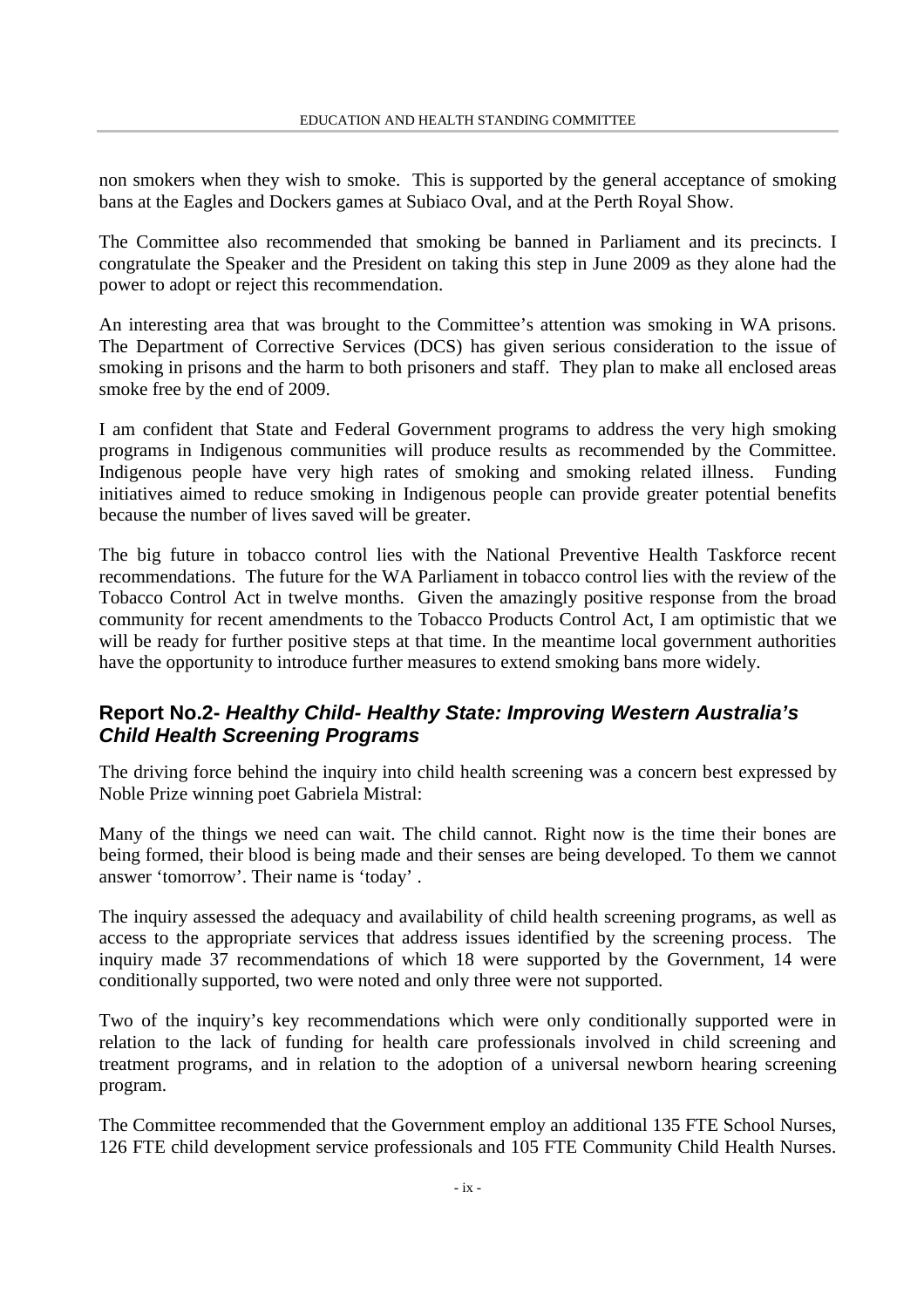non smokers when they wish to smoke. This is supported by the general acceptance of smoking bans at the Eagles and Dockers games at Subiaco Oval, and at the Perth Royal Show.

The Committee also recommended that smoking be banned in Parliament and its precincts. I congratulate the Speaker and the President on taking this step in June 2009 as they alone had the power to adopt or reject this recommendation.

An interesting area that was brought to the Committee's attention was smoking in WA prisons. The Department of Corrective Services (DCS) has given serious consideration to the issue of smoking in prisons and the harm to both prisoners and staff. They plan to make all enclosed areas smoke free by the end of 2009.

I am confident that State and Federal Government programs to address the very high smoking programs in Indigenous communities will produce results as recommended by the Committee. Indigenous people have very high rates of smoking and smoking related illness. Funding initiatives aimed to reduce smoking in Indigenous people can provide greater potential benefits because the number of lives saved will be greater.

The big future in tobacco control lies with the National Preventive Health Taskforce recent recommendations. The future for the WA Parliament in tobacco control lies with the review of the Tobacco Control Act in twelve months. Given the amazingly positive response from the broad community for recent amendments to the Tobacco Products Control Act, I am optimistic that we will be ready for further positive steps at that time. In the meantime local government authorities have the opportunity to introduce further measures to extend smoking bans more widely.

### **Report No.2-** *Healthy Child- Healthy State: Improving Western Australia's Child Health Screening Programs*

The driving force behind the inquiry into child health screening was a concern best expressed by Noble Prize winning poet Gabriela Mistral:

Many of the things we need can wait. The child cannot. Right now is the time their bones are being formed, their blood is being made and their senses are being developed. To them we cannot answer 'tomorrow'. Their name is 'today' .

The inquiry assessed the adequacy and availability of child health screening programs, as well as access to the appropriate services that address issues identified by the screening process. The inquiry made 37 recommendations of which 18 were supported by the Government, 14 were conditionally supported, two were noted and only three were not supported.

Two of the inquiry's key recommendations which were only conditionally supported were in relation to the lack of funding for health care professionals involved in child screening and treatment programs, and in relation to the adoption of a universal newborn hearing screening program.

The Committee recommended that the Government employ an additional 135 FTE School Nurses, 126 FTE child development service professionals and 105 FTE Community Child Health Nurses.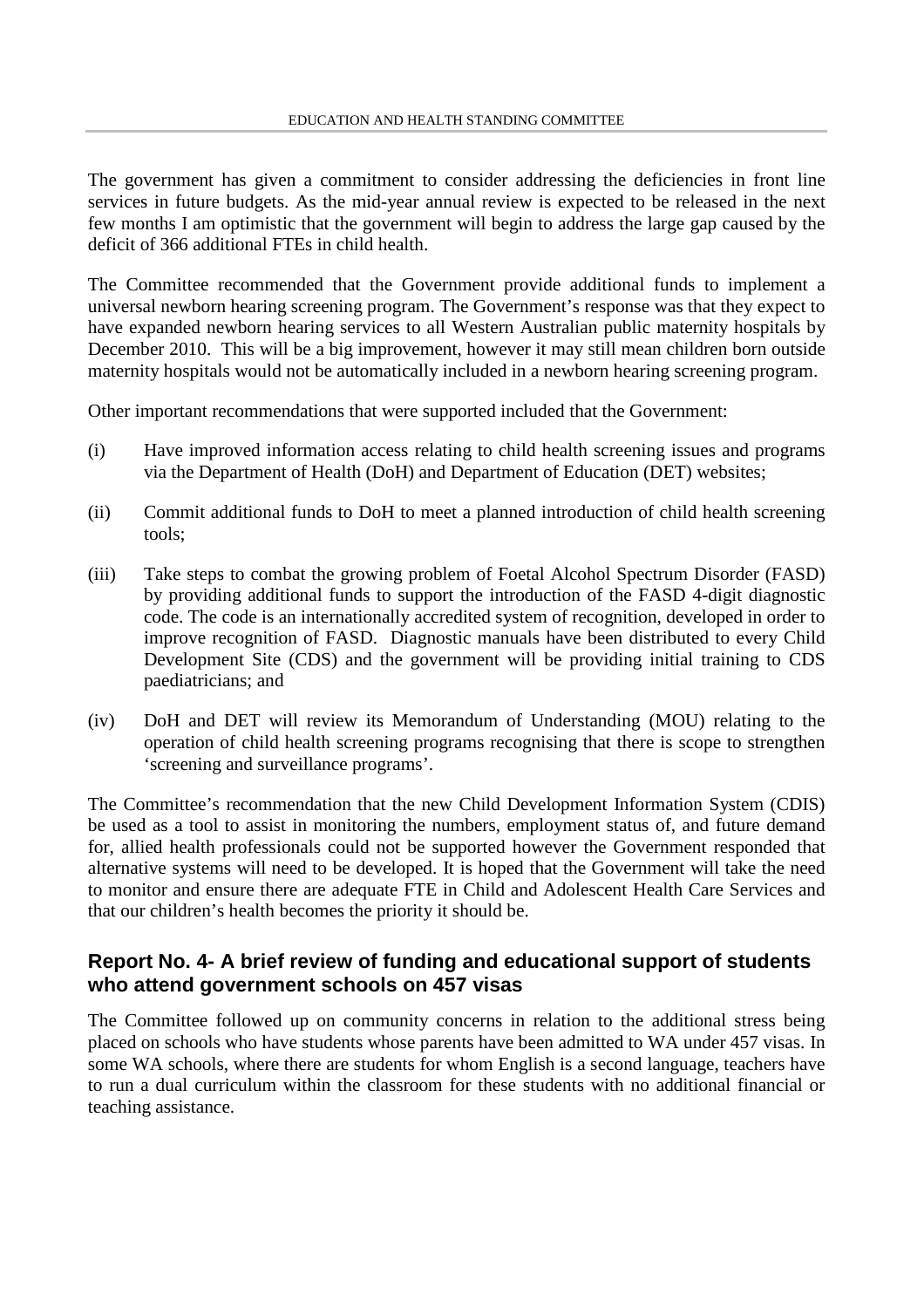The government has given a commitment to consider addressing the deficiencies in front line services in future budgets. As the mid-year annual review is expected to be released in the next few months I am optimistic that the government will begin to address the large gap caused by the deficit of 366 additional FTEs in child health.

The Committee recommended that the Government provide additional funds to implement a universal newborn hearing screening program. The Government's response was that they expect to have expanded newborn hearing services to all Western Australian public maternity hospitals by December 2010. This will be a big improvement, however it may still mean children born outside maternity hospitals would not be automatically included in a newborn hearing screening program.

Other important recommendations that were supported included that the Government:

- (i) Have improved information access relating to child health screening issues and programs via the Department of Health (DoH) and Department of Education (DET) websites;
- (ii) Commit additional funds to DoH to meet a planned introduction of child health screening tools;
- (iii) Take steps to combat the growing problem of Foetal Alcohol Spectrum Disorder (FASD) by providing additional funds to support the introduction of the FASD 4-digit diagnostic code. The code is an internationally accredited system of recognition, developed in order to improve recognition of FASD. Diagnostic manuals have been distributed to every Child Development Site (CDS) and the government will be providing initial training to CDS paediatricians; and
- (iv) DoH and DET will review its Memorandum of Understanding (MOU) relating to the operation of child health screening programs recognising that there is scope to strengthen 'screening and surveillance programs'.

The Committee's recommendation that the new Child Development Information System (CDIS) be used as a tool to assist in monitoring the numbers, employment status of, and future demand for, allied health professionals could not be supported however the Government responded that alternative systems will need to be developed. It is hoped that the Government will take the need to monitor and ensure there are adequate FTE in Child and Adolescent Health Care Services and that our children's health becomes the priority it should be.

### **Report No. 4- A brief review of funding and educational support of students who attend government schools on 457 visas**

The Committee followed up on community concerns in relation to the additional stress being placed on schools who have students whose parents have been admitted to WA under 457 visas. In some WA schools, where there are students for whom English is a second language, teachers have to run a dual curriculum within the classroom for these students with no additional financial or teaching assistance.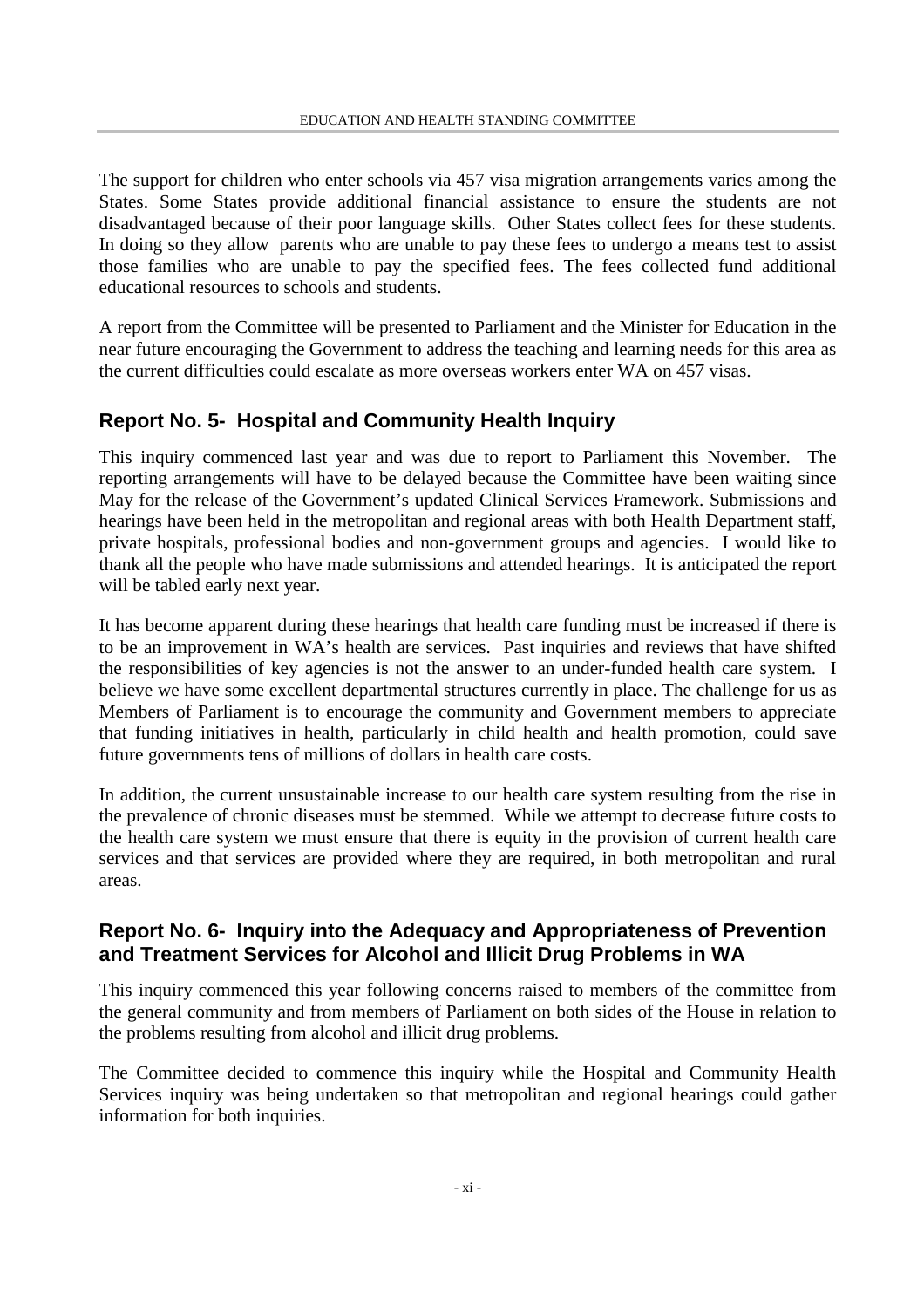The support for children who enter schools via 457 visa migration arrangements varies among the States. Some States provide additional financial assistance to ensure the students are not disadvantaged because of their poor language skills. Other States collect fees for these students. In doing so they allow parents who are unable to pay these fees to undergo a means test to assist those families who are unable to pay the specified fees. The fees collected fund additional educational resources to schools and students.

A report from the Committee will be presented to Parliament and the Minister for Education in the near future encouraging the Government to address the teaching and learning needs for this area as the current difficulties could escalate as more overseas workers enter WA on 457 visas.

## **Report No. 5- Hospital and Community Health Inquiry**

This inquiry commenced last year and was due to report to Parliament this November. The reporting arrangements will have to be delayed because the Committee have been waiting since May for the release of the Government's updated Clinical Services Framework. Submissions and hearings have been held in the metropolitan and regional areas with both Health Department staff, private hospitals, professional bodies and non-government groups and agencies. I would like to thank all the people who have made submissions and attended hearings. It is anticipated the report will be tabled early next year.

It has become apparent during these hearings that health care funding must be increased if there is to be an improvement in WA's health are services. Past inquiries and reviews that have shifted the responsibilities of key agencies is not the answer to an under-funded health care system. I believe we have some excellent departmental structures currently in place. The challenge for us as Members of Parliament is to encourage the community and Government members to appreciate that funding initiatives in health, particularly in child health and health promotion, could save future governments tens of millions of dollars in health care costs.

In addition, the current unsustainable increase to our health care system resulting from the rise in the prevalence of chronic diseases must be stemmed. While we attempt to decrease future costs to the health care system we must ensure that there is equity in the provision of current health care services and that services are provided where they are required, in both metropolitan and rural areas.

### **Report No. 6- Inquiry into the Adequacy and Appropriateness of Prevention and Treatment Services for Alcohol and Illicit Drug Problems in WA**

This inquiry commenced this year following concerns raised to members of the committee from the general community and from members of Parliament on both sides of the House in relation to the problems resulting from alcohol and illicit drug problems.

The Committee decided to commence this inquiry while the Hospital and Community Health Services inquiry was being undertaken so that metropolitan and regional hearings could gather information for both inquiries.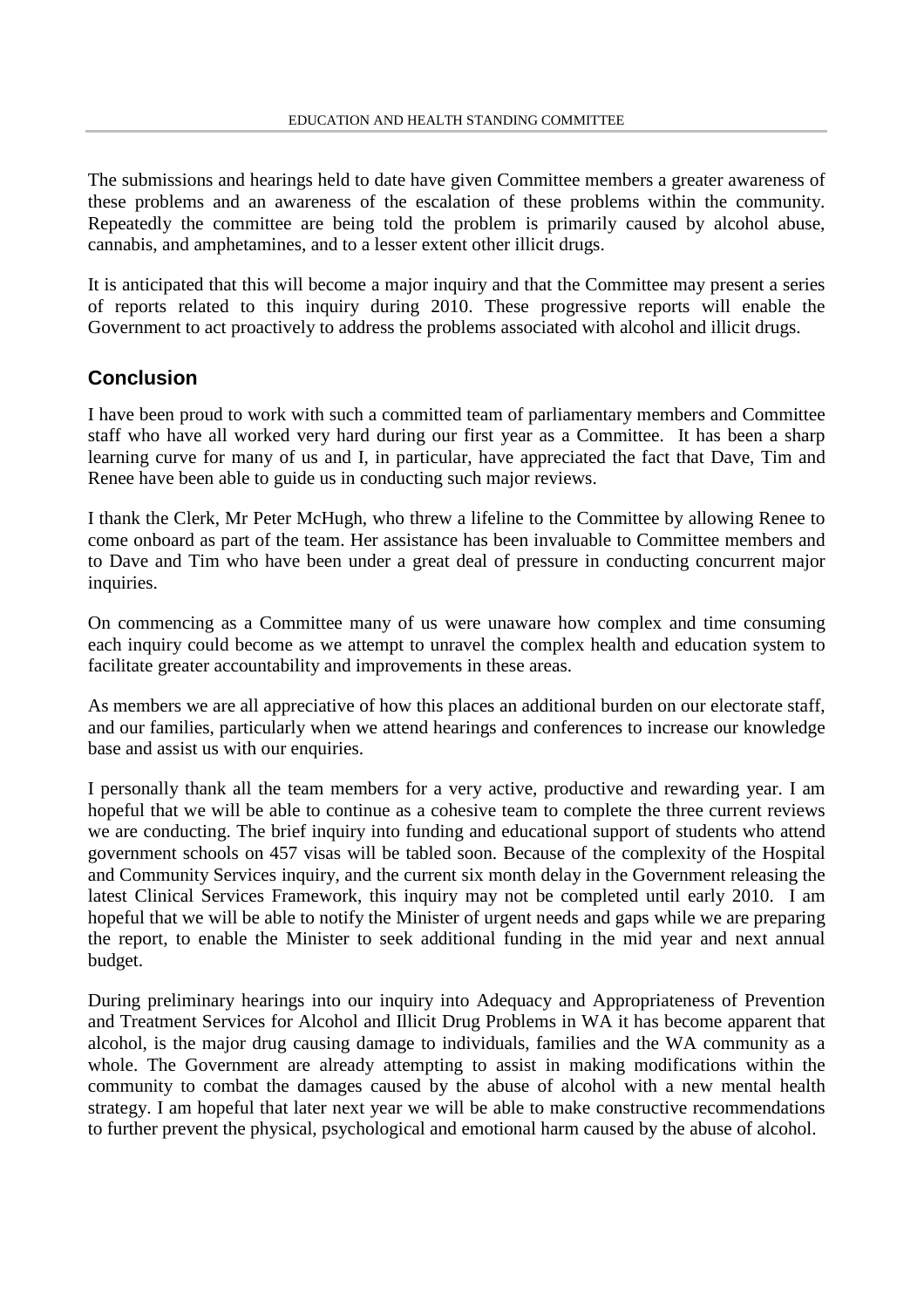The submissions and hearings held to date have given Committee members a greater awareness of these problems and an awareness of the escalation of these problems within the community. Repeatedly the committee are being told the problem is primarily caused by alcohol abuse, cannabis, and amphetamines, and to a lesser extent other illicit drugs.

It is anticipated that this will become a major inquiry and that the Committee may present a series of reports related to this inquiry during 2010. These progressive reports will enable the Government to act proactively to address the problems associated with alcohol and illicit drugs.

## **Conclusion**

I have been proud to work with such a committed team of parliamentary members and Committee staff who have all worked very hard during our first year as a Committee. It has been a sharp learning curve for many of us and I, in particular, have appreciated the fact that Dave, Tim and Renee have been able to guide us in conducting such major reviews.

I thank the Clerk, Mr Peter McHugh, who threw a lifeline to the Committee by allowing Renee to come onboard as part of the team. Her assistance has been invaluable to Committee members and to Dave and Tim who have been under a great deal of pressure in conducting concurrent major inquiries.

On commencing as a Committee many of us were unaware how complex and time consuming each inquiry could become as we attempt to unravel the complex health and education system to facilitate greater accountability and improvements in these areas.

As members we are all appreciative of how this places an additional burden on our electorate staff, and our families, particularly when we attend hearings and conferences to increase our knowledge base and assist us with our enquiries.

I personally thank all the team members for a very active, productive and rewarding year. I am hopeful that we will be able to continue as a cohesive team to complete the three current reviews we are conducting. The brief inquiry into funding and educational support of students who attend government schools on 457 visas will be tabled soon. Because of the complexity of the Hospital and Community Services inquiry, and the current six month delay in the Government releasing the latest Clinical Services Framework, this inquiry may not be completed until early 2010. I am hopeful that we will be able to notify the Minister of urgent needs and gaps while we are preparing the report, to enable the Minister to seek additional funding in the mid year and next annual budget.

During preliminary hearings into our inquiry into Adequacy and Appropriateness of Prevention and Treatment Services for Alcohol and Illicit Drug Problems in WA it has become apparent that alcohol, is the major drug causing damage to individuals, families and the WA community as a whole. The Government are already attempting to assist in making modifications within the community to combat the damages caused by the abuse of alcohol with a new mental health strategy. I am hopeful that later next year we will be able to make constructive recommendations to further prevent the physical, psychological and emotional harm caused by the abuse of alcohol.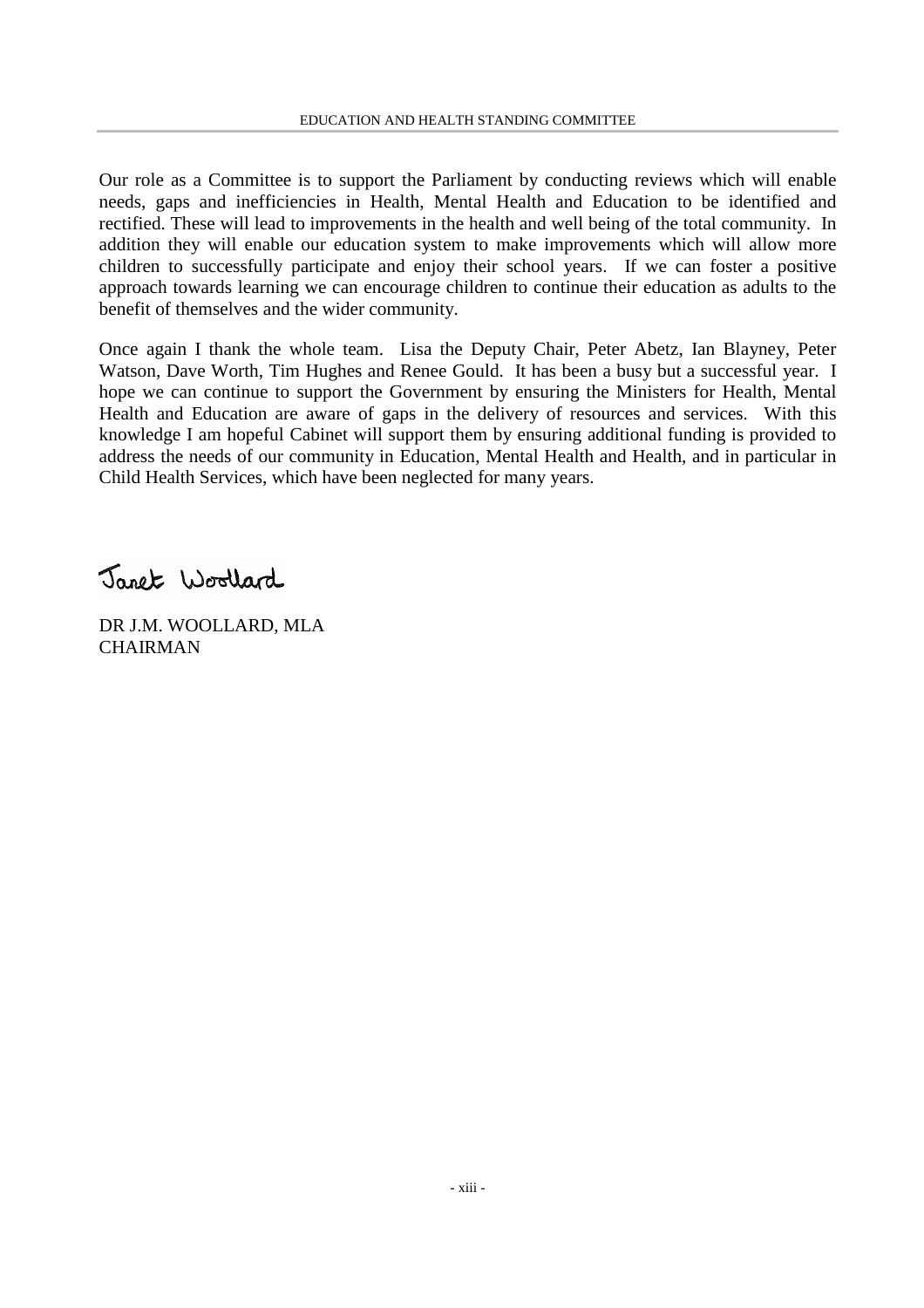Our role as a Committee is to support the Parliament by conducting reviews which will enable needs, gaps and inefficiencies in Health, Mental Health and Education to be identified and rectified. These will lead to improvements in the health and well being of the total community. In addition they will enable our education system to make improvements which will allow more children to successfully participate and enjoy their school years. If we can foster a positive approach towards learning we can encourage children to continue their education as adults to the benefit of themselves and the wider community.

Once again I thank the whole team. Lisa the Deputy Chair, Peter Abetz, Ian Blayney, Peter Watson, Dave Worth, Tim Hughes and Renee Gould. It has been a busy but a successful year. I hope we can continue to support the Government by ensuring the Ministers for Health, Mental Health and Education are aware of gaps in the delivery of resources and services. With this knowledge I am hopeful Cabinet will support them by ensuring additional funding is provided to address the needs of our community in Education, Mental Health and Health, and in particular in Child Health Services, which have been neglected for many years.

Janet Woollard

DR J.M. WOOLLARD, MLA **CHAIRMAN**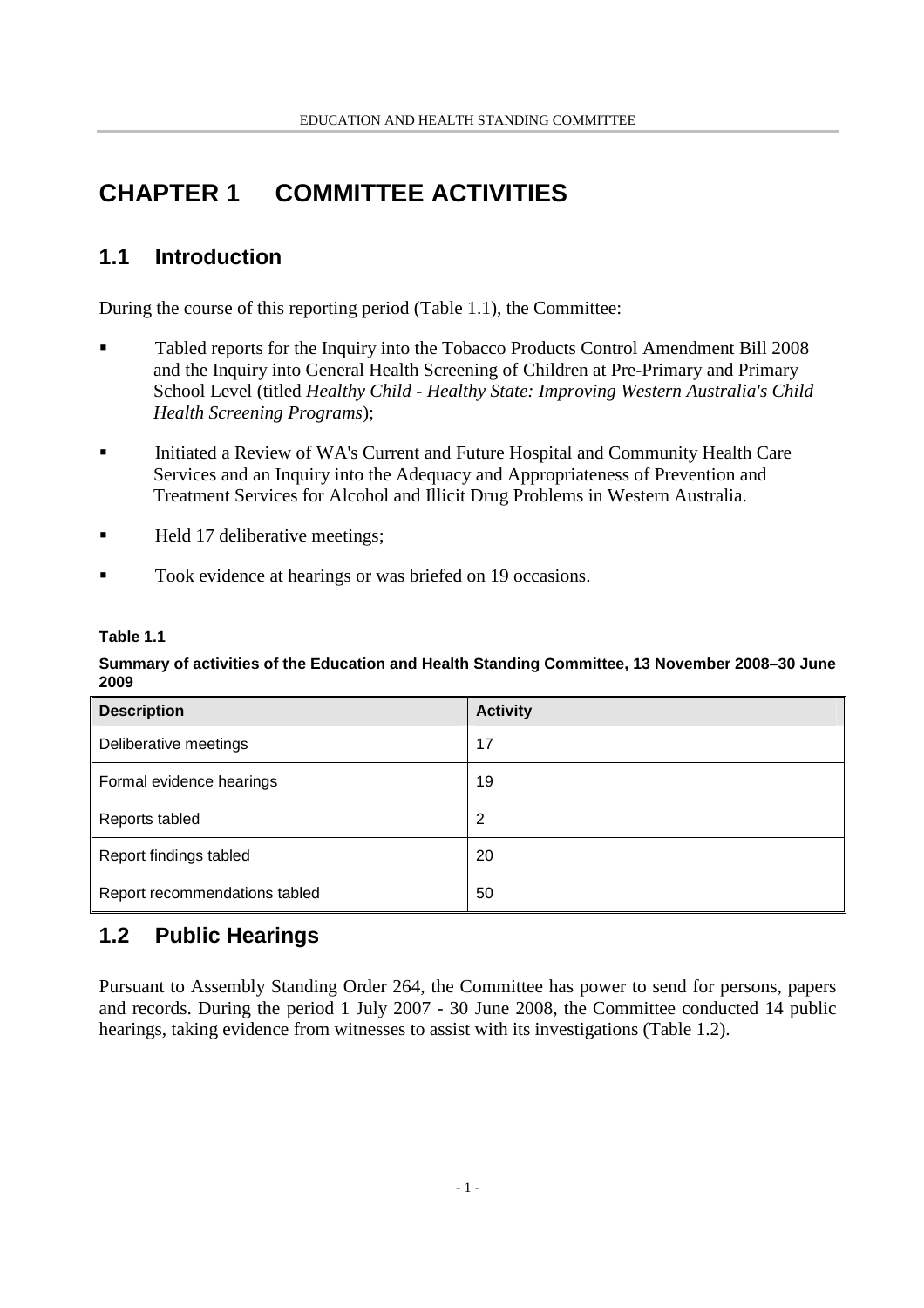## **CHAPTER 1 COMMITTEE ACTIVITIES**

## **1.1 Introduction**

During the course of this reporting period (Table 1.1), the Committee:

- Tabled reports for the Inquiry into the Tobacco Products Control Amendment Bill 2008 and the Inquiry into General Health Screening of Children at Pre-Primary and Primary School Level (titled *Healthy Child - Healthy State: Improving Western Australia's Child Health Screening Programs*);
- Initiated a Review of WA's Current and Future Hospital and Community Health Care Services and an Inquiry into the Adequacy and Appropriateness of Prevention and Treatment Services for Alcohol and Illicit Drug Problems in Western Australia.
- Held 17 deliberative meetings:
- Took evidence at hearings or was briefed on 19 occasions.

### **Table 1.1**

### **Summary of activities of the Education and Health Standing Committee, 13 November 2008–30 June 2009**

| <b>Description</b>            | <b>Activity</b> |
|-------------------------------|-----------------|
| Deliberative meetings         | 17              |
| Formal evidence hearings      | 19              |
| Reports tabled                | 2               |
| Report findings tabled        | 20              |
| Report recommendations tabled | 50              |

## **1.2 Public Hearings**

Pursuant to Assembly Standing Order 264, the Committee has power to send for persons, papers and records. During the period 1 July 2007 - 30 June 2008, the Committee conducted 14 public hearings, taking evidence from witnesses to assist with its investigations (Table 1.2).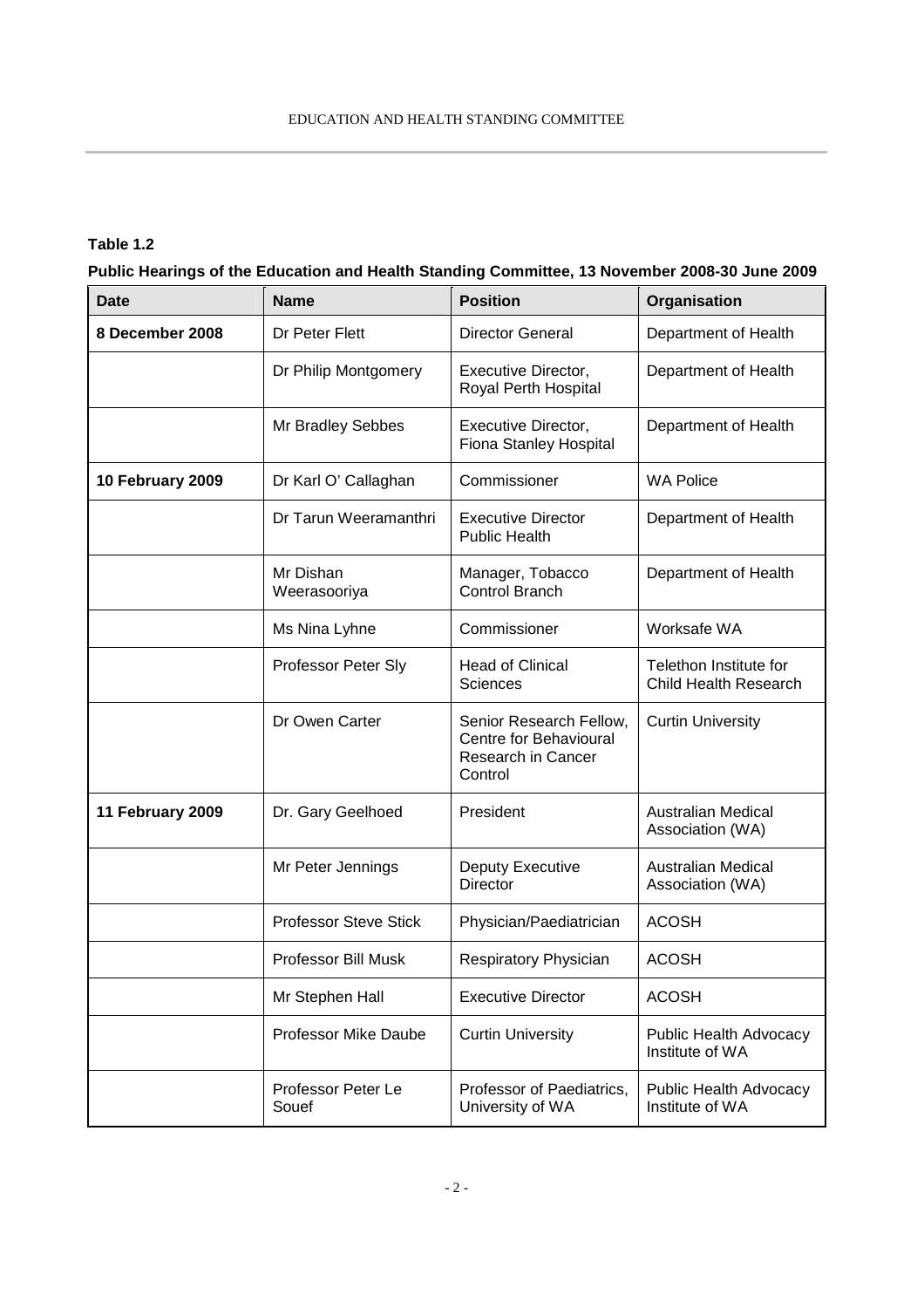### **Table 1.2**

**Public Hearings of the Education and Health Standing Committee, 13 November 2008-30 June 2009**

| <b>Date</b>      | <b>Name</b>                  | <b>Position</b>                                                                    | Organisation                                           |
|------------------|------------------------------|------------------------------------------------------------------------------------|--------------------------------------------------------|
| 8 December 2008  | Dr Peter Flett               | <b>Director General</b>                                                            | Department of Health                                   |
|                  | Dr Philip Montgomery         | <b>Executive Director,</b><br>Royal Perth Hospital                                 | Department of Health                                   |
|                  | Mr Bradley Sebbes            | Executive Director,<br>Fiona Stanley Hospital                                      | Department of Health                                   |
| 10 February 2009 | Dr Karl O' Callaghan         | Commissioner                                                                       | <b>WA Police</b>                                       |
|                  | Dr Tarun Weeramanthri        | <b>Executive Director</b><br><b>Public Health</b>                                  | Department of Health                                   |
|                  | Mr Dishan<br>Weerasooriya    | Manager, Tobacco<br><b>Control Branch</b>                                          | Department of Health                                   |
|                  | Ms Nina Lyhne                | Commissioner                                                                       | Worksafe WA                                            |
|                  | Professor Peter Sly          | <b>Head of Clinical</b><br><b>Sciences</b>                                         | Telethon Institute for<br><b>Child Health Research</b> |
|                  | Dr Owen Carter               | Senior Research Fellow,<br>Centre for Behavioural<br>Research in Cancer<br>Control | <b>Curtin University</b>                               |
| 11 February 2009 | Dr. Gary Geelhoed            | President                                                                          | <b>Australian Medical</b><br>Association (WA)          |
|                  | Mr Peter Jennings            | Deputy Executive<br><b>Director</b>                                                | <b>Australian Medical</b><br>Association (WA)          |
|                  | <b>Professor Steve Stick</b> | Physician/Paediatrician                                                            | <b>ACOSH</b>                                           |
|                  | Professor Bill Musk          | Respiratory Physician                                                              | <b>ACOSH</b>                                           |
|                  | Mr Stephen Hall              | <b>Executive Director</b>                                                          | <b>ACOSH</b>                                           |
|                  | <b>Professor Mike Daube</b>  | <b>Curtin University</b>                                                           | Public Health Advocacy<br>Institute of WA              |
|                  | Professor Peter Le<br>Souef  | Professor of Paediatrics,<br>University of WA                                      | Public Health Advocacy<br>Institute of WA              |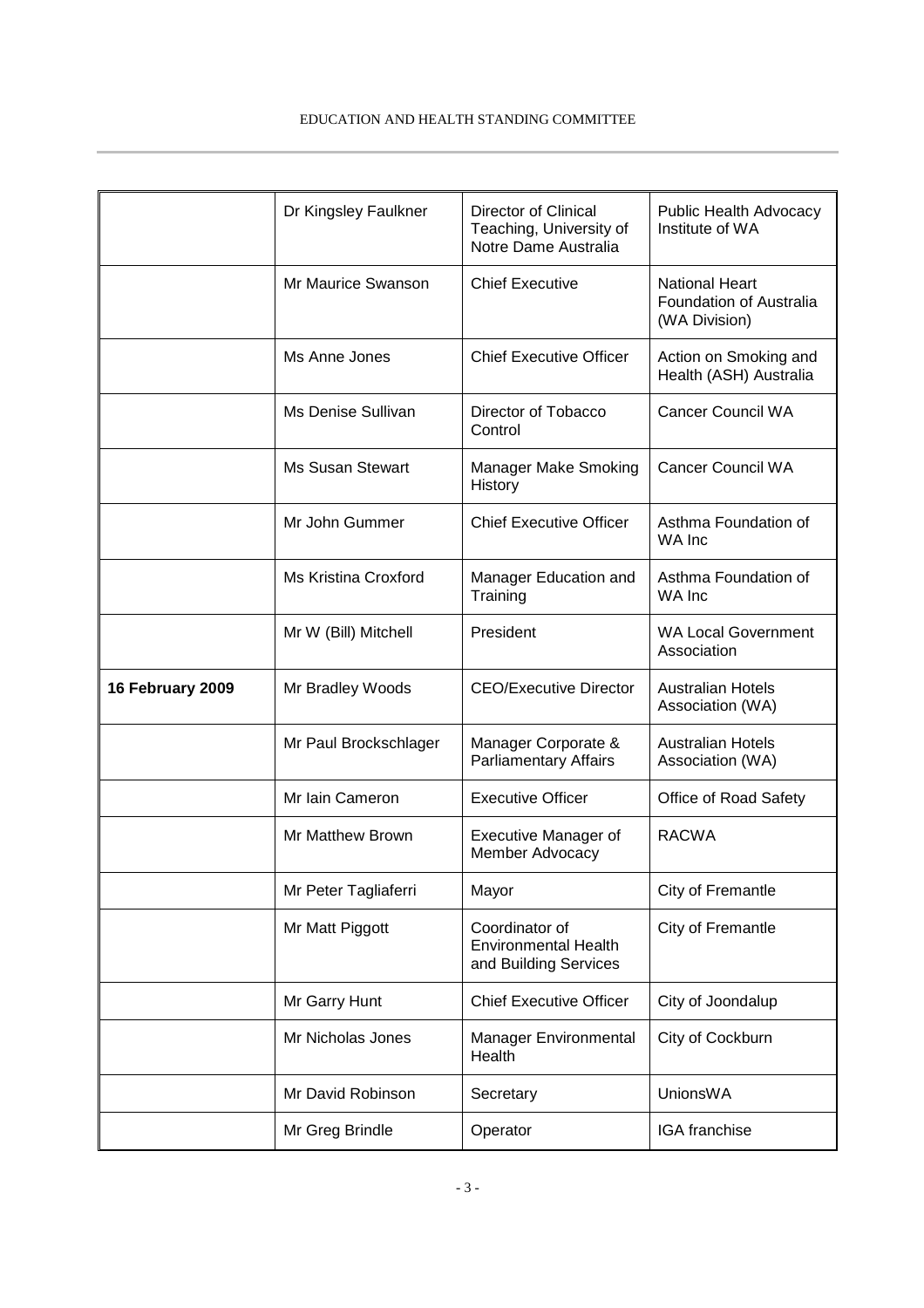#### EDUCATION AND HEALTH STANDING COMMITTEE

|                  | Dr Kingsley Faulkner    | Director of Clinical<br>Teaching, University of<br>Notre Dame Australia | Public Health Advocacy<br>Institute of WA                         |
|------------------|-------------------------|-------------------------------------------------------------------------|-------------------------------------------------------------------|
|                  | Mr Maurice Swanson      | <b>Chief Executive</b>                                                  | <b>National Heart</b><br>Foundation of Australia<br>(WA Division) |
|                  | Ms Anne Jones           | <b>Chief Executive Officer</b>                                          | Action on Smoking and<br>Health (ASH) Australia                   |
|                  | Ms Denise Sullivan      | Director of Tobacco<br>Control                                          | <b>Cancer Council WA</b>                                          |
|                  | <b>Ms Susan Stewart</b> | Manager Make Smoking<br>History                                         | <b>Cancer Council WA</b>                                          |
|                  | Mr John Gummer          | <b>Chief Executive Officer</b>                                          | Asthma Foundation of<br>WA Inc                                    |
|                  | Ms Kristina Croxford    | Manager Education and<br>Training                                       | Asthma Foundation of<br>WA Inc                                    |
|                  | Mr W (Bill) Mitchell    | President                                                               | <b>WA Local Government</b><br>Association                         |
| 16 February 2009 | Mr Bradley Woods        | <b>CEO/Executive Director</b>                                           | <b>Australian Hotels</b><br>Association (WA)                      |
|                  | Mr Paul Brockschlager   | Manager Corporate &<br><b>Parliamentary Affairs</b>                     | <b>Australian Hotels</b><br>Association (WA)                      |
|                  | Mr Iain Cameron         | <b>Executive Officer</b>                                                | Office of Road Safety                                             |
|                  | Mr Matthew Brown        | <b>Executive Manager of</b><br>Member Advocacy                          | <b>RACWA</b>                                                      |
|                  | Mr Peter Tagliaferri    | Mayor                                                                   | City of Fremantle                                                 |
|                  | Mr Matt Piggott         | Coordinator of<br><b>Environmental Health</b><br>and Building Services  | City of Fremantle                                                 |
|                  | Mr Garry Hunt           | <b>Chief Executive Officer</b>                                          | City of Joondalup                                                 |
|                  | Mr Nicholas Jones       | Manager Environmental<br>Health                                         | City of Cockburn                                                  |
|                  | Mr David Robinson       | Secretary                                                               | <b>UnionsWA</b>                                                   |
|                  | Mr Greg Brindle         | Operator                                                                | IGA franchise                                                     |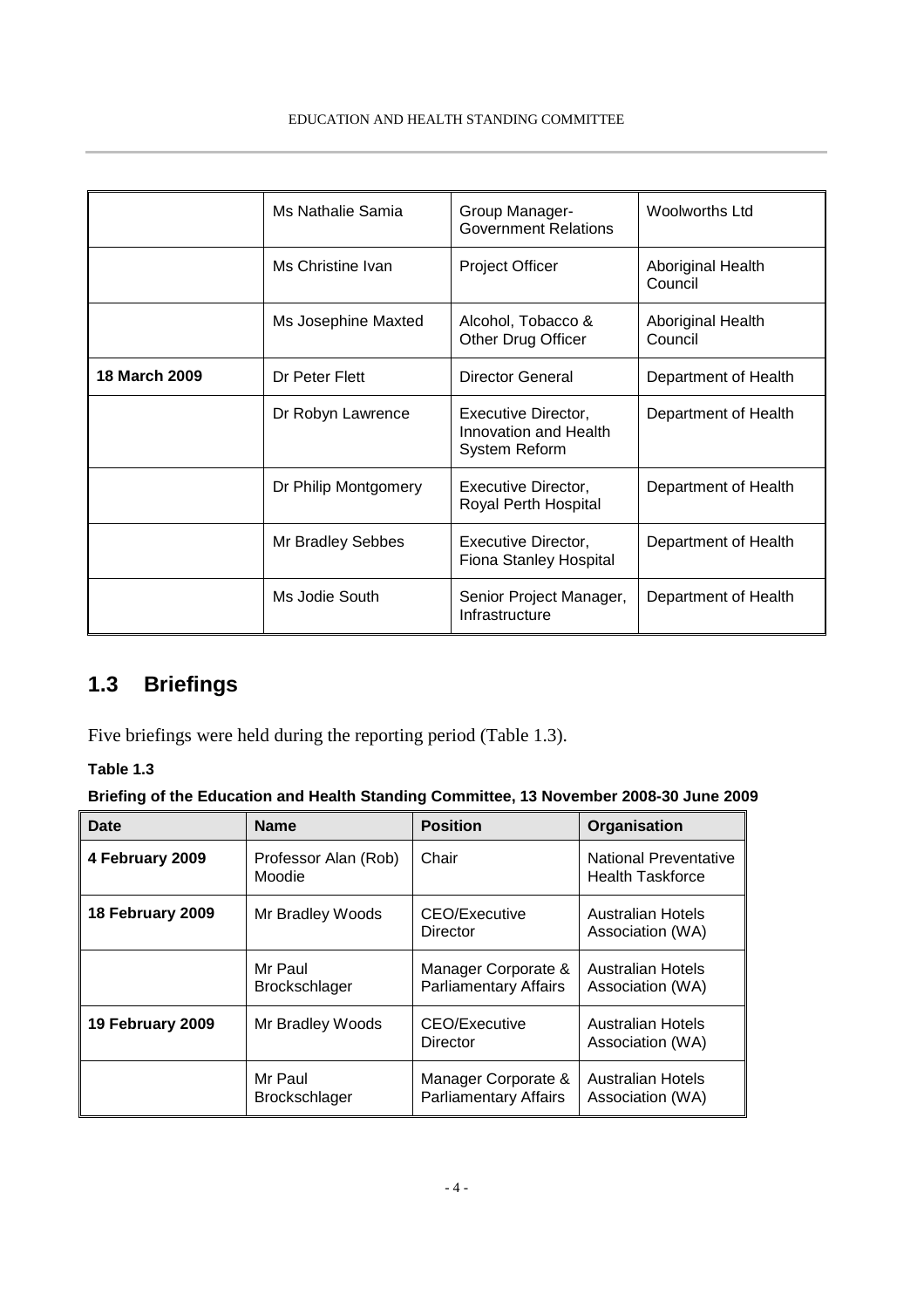#### EDUCATION AND HEALTH STANDING COMMITTEE

|               | Ms Nathalie Samia    | Group Manager-<br><b>Government Relations</b>                 | <b>Woolworths Ltd</b>        |
|---------------|----------------------|---------------------------------------------------------------|------------------------------|
|               | Ms Christine Ivan    | <b>Project Officer</b>                                        | Aboriginal Health<br>Council |
|               | Ms Josephine Maxted  | Alcohol, Tobacco &<br>Other Drug Officer                      | Aboriginal Health<br>Council |
| 18 March 2009 | Dr Peter Flett       | Director General                                              | Department of Health         |
|               | Dr Robyn Lawrence    | Executive Director,<br>Innovation and Health<br>System Reform | Department of Health         |
|               | Dr Philip Montgomery | Executive Director,<br>Royal Perth Hospital                   | Department of Health         |
|               | Mr Bradley Sebbes    | Executive Director,<br>Fiona Stanley Hospital                 | Department of Health         |
|               | Ms Jodie South       | Senior Project Manager,<br>Infrastructure                     | Department of Health         |

## **1.3 Briefings**

Five briefings were held during the reporting period (Table 1.3).

### **Table 1.3**

### **Briefing of the Education and Health Standing Committee, 13 November 2008-30 June 2009**

| Date             | <b>Name</b>                     | <b>Position</b>                                     | Organisation                                            |
|------------------|---------------------------------|-----------------------------------------------------|---------------------------------------------------------|
| 4 February 2009  | Professor Alan (Rob)<br>Moodie  | Chair                                               | <b>National Preventative</b><br><b>Health Taskforce</b> |
| 18 February 2009 | Mr Bradley Woods                | CEO/Executive<br>Director                           | Australian Hotels<br>Association (WA)                   |
|                  | Mr Paul<br><b>Brockschlager</b> | Manager Corporate &<br><b>Parliamentary Affairs</b> | <b>Australian Hotels</b><br>Association (WA)            |
| 19 February 2009 | Mr Bradley Woods                | CEO/Executive<br>Director                           | Australian Hotels<br>Association (WA)                   |
|                  | Mr Paul<br><b>Brockschlager</b> | Manager Corporate &<br><b>Parliamentary Affairs</b> | Australian Hotels<br>Association (WA)                   |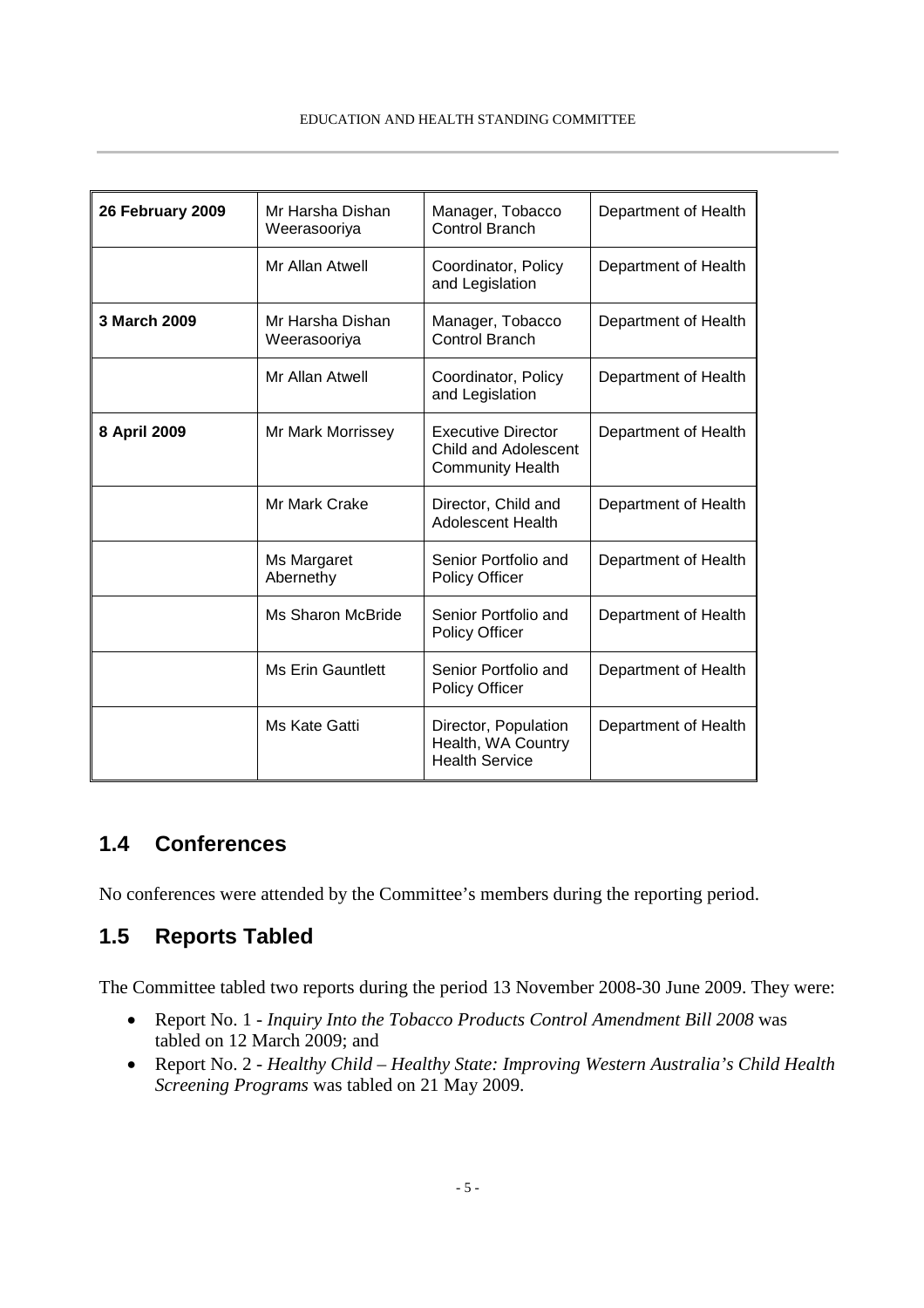#### EDUCATION AND HEALTH STANDING COMMITTEE

| 26 February 2009 | Mr Harsha Dishan<br>Weerasooriya | Manager, Tobacco<br><b>Control Branch</b>                                           | Department of Health |
|------------------|----------------------------------|-------------------------------------------------------------------------------------|----------------------|
|                  | Mr Allan Atwell                  | Coordinator, Policy<br>and Legislation                                              | Department of Health |
| 3 March 2009     | Mr Harsha Dishan<br>Weerasooriya | Manager, Tobacco<br><b>Control Branch</b>                                           | Department of Health |
|                  | Mr Allan Atwell                  | Coordinator, Policy<br>and Legislation                                              | Department of Health |
| 8 April 2009     | Mr Mark Morrissey                | <b>Executive Director</b><br><b>Child and Adolescent</b><br><b>Community Health</b> | Department of Health |
|                  | Mr Mark Crake                    | Director, Child and<br><b>Adolescent Health</b>                                     | Department of Health |
|                  | Ms Margaret<br>Abernethy         | Senior Portfolio and<br><b>Policy Officer</b>                                       | Department of Health |
|                  | Ms Sharon McBride                | Senior Portfolio and<br><b>Policy Officer</b>                                       | Department of Health |
|                  | <b>Ms Erin Gauntlett</b>         | Senior Portfolio and<br><b>Policy Officer</b>                                       | Department of Health |
|                  | Ms Kate Gatti                    | Director, Population<br>Health, WA Country<br><b>Health Service</b>                 | Department of Health |

## **1.4 Conferences**

No conferences were attended by the Committee's members during the reporting period.

## **1.5 Reports Tabled**

The Committee tabled two reports during the period 13 November 2008-30 June 2009. They were:

- Report No. 1 *Inquiry Into the Tobacco Products Control Amendment Bill 2008* was tabled on 12 March 2009; and
- Report No. 2 *Healthy Child – Healthy State: Improving Western Australia's Child Health Screening Programs* was tabled on 21 May 2009.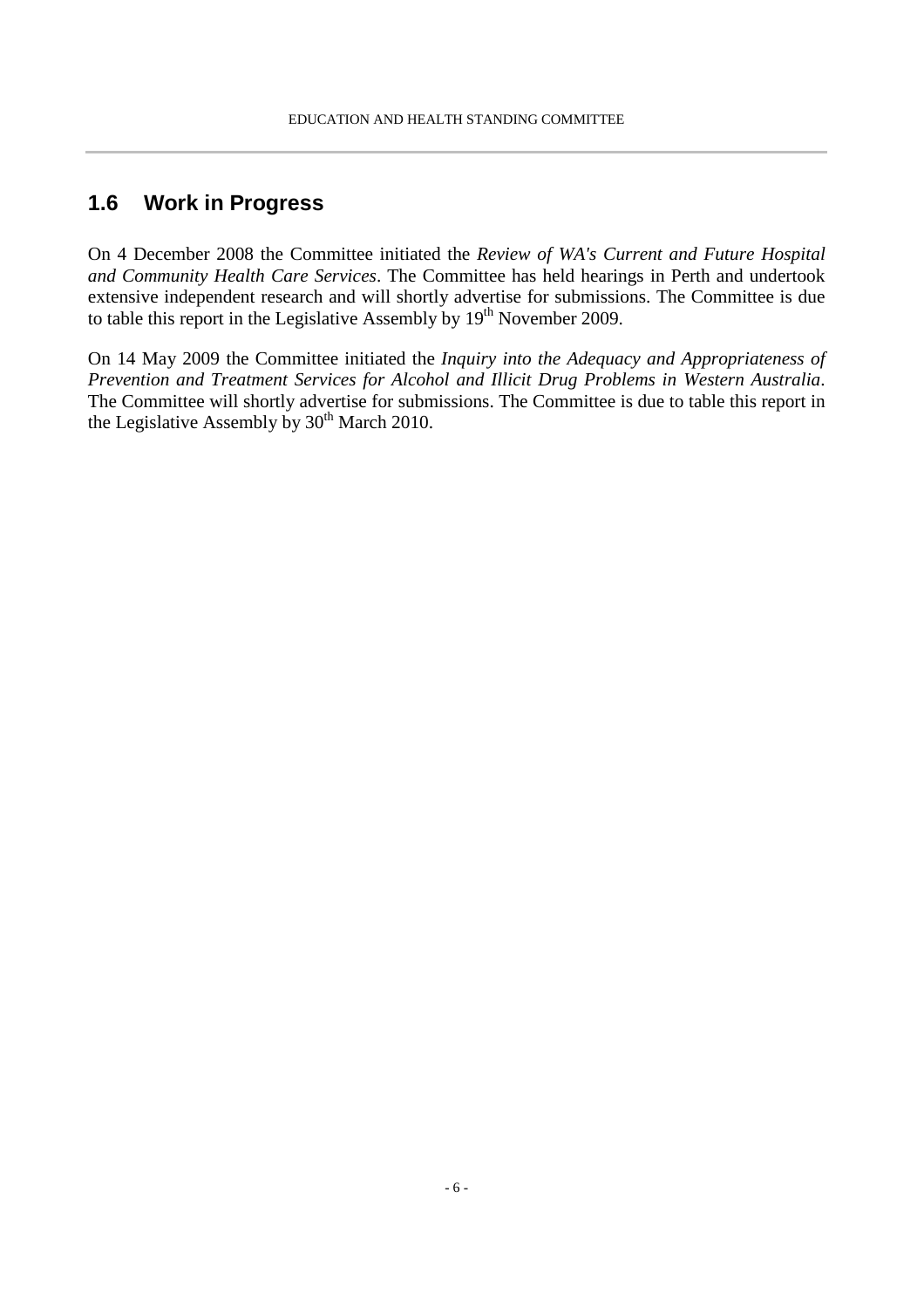## **1.6 Work in Progress**

On 4 December 2008 the Committee initiated the *Review of WA's Current and Future Hospital and Community Health Care Services*. The Committee has held hearings in Perth and undertook extensive independent research and will shortly advertise for submissions. The Committee is due to table this report in the Legislative Assembly by  $19<sup>th</sup>$  November 2009.

On 14 May 2009 the Committee initiated the *Inquiry into the Adequacy and Appropriateness of Prevention and Treatment Services for Alcohol and Illicit Drug Problems in Western Australia*. The Committee will shortly advertise for submissions. The Committee is due to table this report in the Legislative Assembly by  $30<sup>th</sup>$  March 2010.